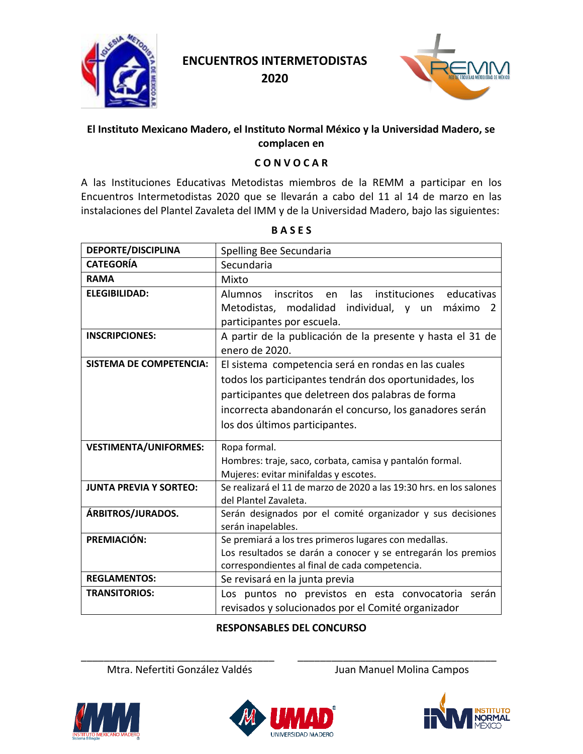

**2020**



### **El Instituto Mexicano Madero, el Instituto Normal México y la Universidad Madero, se complacen en**

#### **C O N V O C A R**

A las Instituciones Educativas Metodistas miembros de la REMM a participar en los Encuentros Intermetodistas 2020 que se llevarán a cabo del 11 al 14 de marzo en las instalaciones del Plantel Zavaleta del IMM y de la Universidad Madero, bajo las siguientes:

| <b>DEPORTE/DISCIPLINA</b>      | Spelling Bee Secundaria                                                                      |
|--------------------------------|----------------------------------------------------------------------------------------------|
| <b>CATEGORÍA</b>               | Secundaria                                                                                   |
| <b>RAMA</b>                    | Mixto                                                                                        |
| <b>ELEGIBILIDAD:</b>           | educativas<br><b>Alumnos</b><br>inscritos en<br>las<br>instituciones                         |
|                                | Metodistas,<br>modalidad<br>individual, y<br>máximo<br>un<br>2<br>participantes por escuela. |
| <b>INSCRIPCIONES:</b>          | A partir de la publicación de la presente y hasta el 31 de<br>enero de 2020.                 |
| <b>SISTEMA DE COMPETENCIA:</b> | El sistema competencia será en rondas en las cuales                                          |
|                                | todos los participantes tendrán dos oportunidades, los                                       |
|                                | participantes que deletreen dos palabras de forma                                            |
|                                | incorrecta abandonarán el concurso, los ganadores serán                                      |
|                                | los dos últimos participantes.                                                               |
| <b>VESTIMENTA/UNIFORMES:</b>   | Ropa formal.                                                                                 |
|                                | Hombres: traje, saco, corbata, camisa y pantalón formal.                                     |
|                                | Mujeres: evitar minifaldas y escotes.                                                        |
| <b>JUNTA PREVIA Y SORTEO:</b>  | Se realizará el 11 de marzo de 2020 a las 19:30 hrs. en los salones<br>del Plantel Zavaleta. |
| ÁRBITROS/JURADOS.              | Serán designados por el comité organizador y sus decisiones<br>serán inapelables.            |
| PREMIACIÓN:                    | Se premiará a los tres primeros lugares con medallas.                                        |
|                                | Los resultados se darán a conocer y se entregarán los premios                                |
|                                | correspondientes al final de cada competencia.                                               |
| <b>REGLAMENTOS:</b>            | Se revisará en la junta previa                                                               |
| <b>TRANSITORIOS:</b>           | Los puntos no previstos en esta convocatoria serán                                           |
|                                | revisados y solucionados por el Comité organizador                                           |

**B A S E S**

## **RESPONSABLES DEL CONCURSO**

\_\_\_\_\_\_\_\_\_\_\_\_\_\_\_\_\_\_\_\_\_\_\_\_\_\_\_\_\_\_\_\_\_\_ \_\_\_\_\_\_\_\_\_\_\_\_\_\_\_\_\_\_\_\_\_\_\_\_\_\_\_\_\_\_\_\_\_\_\_ Mtra. Nefertiti González Valdés **Juan Manuel Molina Campos** 





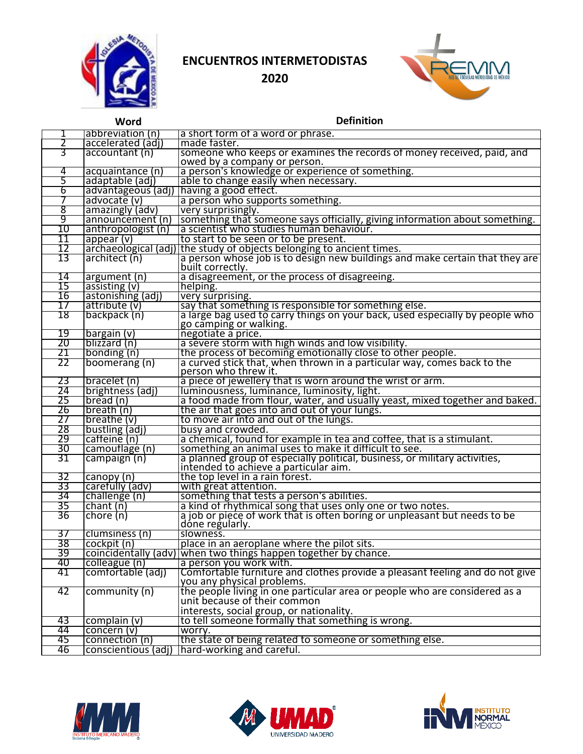



|    | Word                 | <b>Definition</b>                                                                                                          |
|----|----------------------|----------------------------------------------------------------------------------------------------------------------------|
|    | abbreviation (n)     | a short form of a word or phrase.                                                                                          |
| 2  | accelerated (adj)    | made faster.                                                                                                               |
| 3  | accountant (n)       | someone who keeps or examines the records of money received, paid, and<br>owed by a company or person.                     |
| 4  | acquaintance (n)     | a person's knowledge or experience of something.                                                                           |
| 5  | adaptable (adi)      | able to change easily when necessary.                                                                                      |
| 6  | advantageous (adj)   | having a good effect.                                                                                                      |
| 7  | advocate (v)         | a person who supports something.                                                                                           |
| 8  | amazingly (adv)      | very surprisingly.                                                                                                         |
| 9  | announcement (n)     | something that someone says officially, giving information about something.                                                |
| 10 | anthropologist (n)   | a scientist who studies human behaviour.                                                                                   |
| 11 | appear (v)           | to start to be seen or to be present.                                                                                      |
| 12 |                      | archaeological (adj) the study of objects belonging to ancient times.                                                      |
| 13 | architect (n)        | a person whose job is to design new buildings and make certain that they are<br>built correctly.                           |
| 14 | argument (n)         | a disagreement, or the process of disagreeing.                                                                             |
| 15 | assisting (v)        | helping.                                                                                                                   |
| 16 | astonishing (adj)    | very surprising.                                                                                                           |
| 17 | attribute (v)        | say that something is responsible for something else.                                                                      |
| 18 | backpack (n)         | a large bag used to carry things on your back, used especially by people who<br>go cămping or walking.                     |
| 19 | bargain (v)          | negotiate a price.                                                                                                         |
| 20 | blizzard (n)         | a severe storm with high winds and low visibility.                                                                         |
| 21 | bonding (n)          | the process of becoming emotionally close to other people.                                                                 |
| 22 | boomerang (n)        | a curved stick that, when thrown in a particular way, comes back to the<br>person who threw it.                            |
| 23 | bracelet (n)         | a piece of jewellery that is worn around the wrist or arm.                                                                 |
| 24 | brightness (adj)     | luminousness, luminance, luminosity, light.                                                                                |
| 25 | bread (n)            | a food made from flour, water, and usually yeast, mixed together and baked.                                                |
| 26 | breath (n)           | the air that goes into and out of your lungs.                                                                              |
| 27 | breathe (v)          | to move air into and out of the lungs.                                                                                     |
| 28 | bustling (adj)       | busy and crowded.                                                                                                          |
| 29 | caffeine (n)         | a chemical, found for example in tea and coffee, that is a stimulant.                                                      |
| 30 | camouflage (n)       | something an animal uses to make it difficult to see.                                                                      |
| 31 | campaign (n)         | a planned group of especially political, business, or military activities,<br><u>intended to achieve a particular aim.</u> |
| 32 | canopy (n)           | the top level in a rain forest.                                                                                            |
| 33 | carefully (adv)      | with great attention.                                                                                                      |
| 34 | challenge (n)        | something that tests a person's abilities.                                                                                 |
| 35 | chain(n)             | a kind of rhythmical song that uses only one or two notes.                                                                 |
| 36 | chore (n)            | a job or piece of work that is often boring or unpleasant but needs to be<br>dóne regularly.                               |
| 37 | clumsiness (n)       | slowness.                                                                                                                  |
| 38 | cockpit (n)          | place in an aeroplane where the pilot sits.                                                                                |
| 39 | coincidentally (adv) | when two things happen together by chance.                                                                                 |
| 40 | colleague (n)        | a person you work with.                                                                                                    |
| 41 | comfortable (adj)    | Comfortable furniture and clothes provide a pleasant feeling and do not give<br>you any physical problems.                 |
| 42 | community (n)        | the people living in one particular area or people who are considered as a                                                 |
|    |                      | unit because of their common                                                                                               |
|    |                      | interests, social group, or nationality.                                                                                   |
| 43 | complain (v)         | to tell someone formally that something is wrong.                                                                          |
| 44 | concern (v)          | worry.                                                                                                                     |
| 45 | connection (n)       | the state of being related to someone or something else.                                                                   |
| 46 | conscientious (adj)  | hard-working and careful.                                                                                                  |





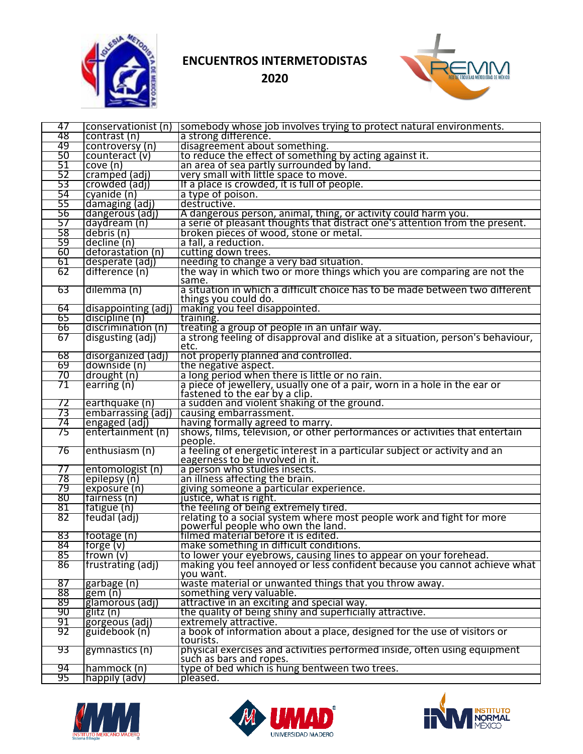



| 47  | conservationist (n) | somebody whose job involves trying to protect natural environments.                   |
|-----|---------------------|---------------------------------------------------------------------------------------|
| 48  | contrast (n)        | a strong difference.                                                                  |
| 49  | controversy (n)     | disagreement about something.                                                         |
| 50  | counteract (v)      | to reduce the effect of something by acting against it.                               |
| 51  | cove(n)             | an area of sea partly surrounded by land.                                             |
| 52  | cramped (adj)       | very small with little space to move.                                                 |
| 53  | crowded (adj)       | If a place is crowded, it is full of people.                                          |
| 54  | cyanide (n)         | a type of poison.                                                                     |
| 55  | damaging (adj)      | destructive.                                                                          |
| 56  | dangerous (adj)     | A dangerous person, animal, thing, or activity could harm you.                        |
| 57  | daydream (n)        | a serie of pleasant thoughts that distract one's attention from the present.          |
| 58  | debris (n)          | broken pieces of wood, stone or metal.                                                |
| 59  | decline (n)         | a fall, a reduction.                                                                  |
| 60  | deforastation (n)   | cutting down trees.                                                                   |
| 61  | desperate (adj)     | needing to change a very bad situation.                                               |
| 62  | difference (n)      | the way in which two or more things which you are comparing are not the               |
|     |                     | same.                                                                                 |
| 63  | dilemma (n)         | a situation in which a difficult choice has to be made between two different          |
|     |                     | things you could do.                                                                  |
| 64  | disappointing (adj) | making you feel disappointed.                                                         |
| 65  | discipline (n)      | training.                                                                             |
| 66  | discrimination (n)  | treating a group of people in an unfair way.                                          |
| 67  | disgusting (adj)    | a strong feeling of disapproval and dislike at a situation, person's behaviour,       |
|     |                     | etc.                                                                                  |
| 68  | disorganized (adj)  | not properly planned and controlled.                                                  |
| 69  | downside (n)        | the negative aspect.                                                                  |
| 70  | drought (n)         | a long period when there is little or no rain.                                        |
| 71  | earring (n)         | a piece of jewellery, usually one of a pair, worn in a hole in the ear or             |
|     |                     | fastened to the ear by a clip.                                                        |
| 72  | earthquake (n)      | a sudden and violent shaking of the ground.                                           |
| 73  | embarrassing (adj)  | causing embarrassment.                                                                |
| 74  | engaged (adj)       | having formally agreed to marry.                                                      |
| 75  | entertainment (n)   | shows, films, television, or other performances or activities that entertain          |
| 76  | enthusiasm (n)      | people.<br>a feeling of energetic interest in a particular subject or activity and an |
|     |                     | eagerness to be involved in it.                                                       |
| 77  | entomologist (n)    | a person who studies insects.                                                         |
| 78  | epilepsy (n)        | an illness affecting the brain.                                                       |
| 79  | exposure (n)        | giving someone a particular experience.                                               |
| 80  | fairness (n)        | justice, what is right.                                                               |
| 81  | fatigue (n)         | the feeling of being extremely tired.                                                 |
| 82  | feudal (adj)        | relating to a social system where most people work and fight for more                 |
|     |                     | powerful people who own the land.                                                     |
| 83  | footage (n)         | filmed material before it is edited.                                                  |
| 84  | [torge(v)]          | make something in difficult conditions.                                               |
| 85  | frown (v)           | to lower your eyebrows, causing lines to appear on your forehead.                     |
| 86  | frustrating (adj)   | making you feel annoyed or less confident because you cannot achieve what             |
|     |                     | you want.                                                                             |
| 87  | garbage (n)         | waste material or unwanted things that you throw away.                                |
| 88  | $g$ em $(n)$        | something very valuable.                                                              |
| -89 | glamorous (adj)     | attractive in an exciting and special way.                                            |
| 90  | glitz (n)           | the quality of being shiny and superficially attractive.                              |
| 91  | gorgeous (adj)      | extremely attractive.                                                                 |
| 92  | guidebook (n)       | a book of information about a place, designed for the use of visitors or              |
|     |                     | tourists.                                                                             |
| -93 | gymnastics (n)      | physical exercises and activities performed inside, often using equipment             |
|     |                     | such as bars and ropes.                                                               |
| 94  | hammock (n)         | type of bed which is hung bentween two trees.                                         |
| 95  | happily (adv)       | pleased.                                                                              |





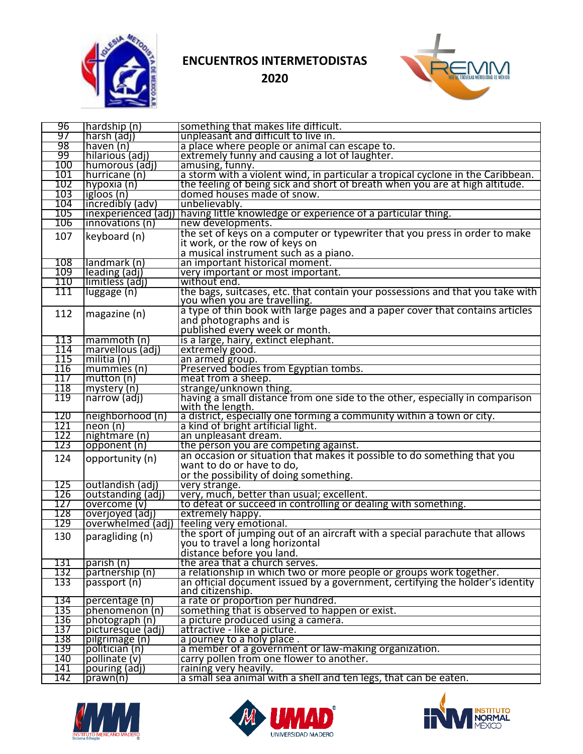



| 96  | [hardship (n)        | something that makes life difficult.                                            |
|-----|----------------------|---------------------------------------------------------------------------------|
| 97  | harsh (adj)          | unpleasant and difficult to live in.                                            |
| 98  | haven (n)            | a place where people or animal can escape to.                                   |
| 99  | hilarious (adj)      | extremely funny and causing a lot of laughter.                                  |
| 100 | [humorous (adj)      | amusing, tunny.                                                                 |
| 101 | hurricane (n)        | a storm with a violent wind, in particular a tropical cyclone in the Caribbean. |
| 102 | hypoxia (n)          | the feeling of being sick and short of breath when you are at high altitude.    |
| 103 | igloos (n)           | domed houses made of snow.                                                      |
| 104 | incredibly (adv)     | unbelievably.                                                                   |
| 105 | (inexperienced (adj) | having little knowledge or experience of a particular thing.                    |
| 106 | (innovations (n      | new developments.                                                               |
|     |                      | the set of keys on a computer or typewriter that you press in order to make     |
| 107 | keyboard (n)         | it work, or the row of keys on                                                  |
|     |                      | a musical instrument such as a piano.                                           |
| 108 | llandmark (n)        | an important historical moment.                                                 |
| 109 | leading (adj)        | very important or most important.                                               |
| 110 | llimitless (adj)     | without end.                                                                    |
| 111 | luggage (n)          | the bags, suitcases, etc. that contain your possessions and that you take with  |
|     |                      | you when you are travelling.                                                    |
|     |                      | a type of thin book with large pages and a paper cover that contains articles   |
| 112 | magazine (n)         | and photographs and is                                                          |
|     |                      | published every week or month.                                                  |
| 113 | mammoth (n)          | is a large, hairy, extinct elephant.                                            |
| 114 | marvellous (adj)     | extremely good.                                                                 |
| 115 | militia (n)          | an armed group.                                                                 |
| 116 | mummies (n)          | Preserved bodies from Egyptian tombs.                                           |
| 117 | mutton(n)            | meat from a sheep.                                                              |
| 118 | mystery (n)          | strange/unknown thing.                                                          |
| 119 | narrow (adj)         | having a small distance from one side to the other, especially in comparison    |
|     |                      | with the length.                                                                |
| 120 | neighborhood (n)     | a district, especially one forming a community within a town or city.           |
| 121 | neon(n)              | a kind of bright artificial light.                                              |
| 122 | nightmare (n)        | an unpleasant dream.                                                            |
| 123 | opponent (n)         | the person you are competing against.                                           |
| 124 | opportunity (n)      | an occasion or situation that makes it possible to do something that you        |
|     |                      | want to do or have to do,                                                       |
|     |                      | or the possibility of doing something.                                          |
| 125 | outlandish (adj)     | very strange.                                                                   |
| 126 | outstanding (adj)    | very, much, better than usual; excellent.                                       |
| 127 | overcome (v)         | to defeat or succeed in controlling or dealing with something.                  |
| 128 | overjoyed (adj)      | extremely happy.                                                                |
| 129 | overwhelmed (adj)    | feeling very emotional.                                                         |
| 130 | paragliding (n)      | the sport of jumping out of an aircraft with a special parachute that allows    |
|     |                      | you to travel a long horizontal                                                 |
|     |                      | distance before you land.                                                       |
| 131 | parish (n)           | the area that a church serves.                                                  |
| 132 | partnership (n)      | a relationship in which two or more people or groups work together.             |
| 133 | passport (n)         | an official document issued by a government, certifying the holder's identity   |
|     |                      | and citizenship.                                                                |
| 134 | percentage (n)       | a rate or proportion per hundred.                                               |
| 135 | phenomenon (n)       | something that is observed to happen or exist.                                  |
| 136 | photograph (n)       | a picture produced using a camera.                                              |
| 137 | picturesque (adj)    | attractive - like a picture.                                                    |
| 138 | pilgrimage (n)       | a journey to a holy place.                                                      |
| 139 | politician (n)       | a member of a government or law-making organization.                            |
| 140 | pollinate (v)        | carry pollen from one flower to another.                                        |
| 141 | pouring (adj)        | raining very heavily.                                                           |
| 142 | prawn(n)             | a small sea animal with a shell and ten legs, that can be eaten.                |





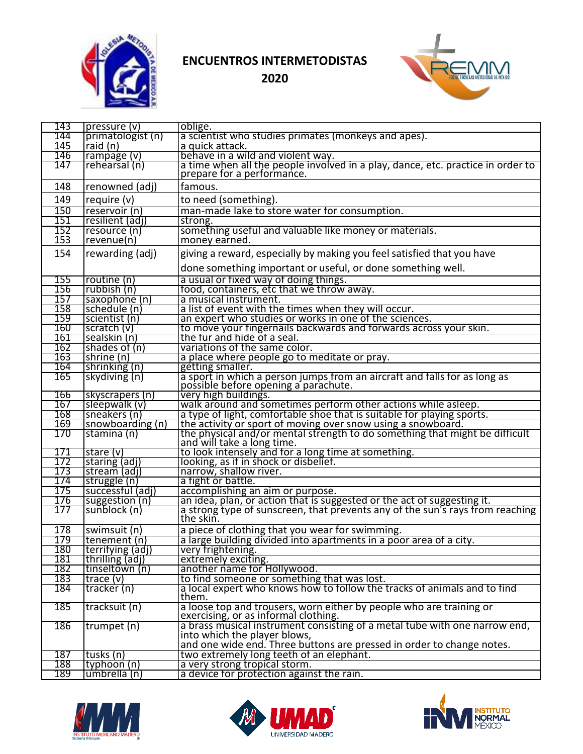



| 143 | pressure (v)      | oblige.                                                                                                     |
|-----|-------------------|-------------------------------------------------------------------------------------------------------------|
| 144 | primatologist (n) | a scientist who studies primates (monkeys and apes).                                                        |
| 145 | raid $(n)$        | a quick attack.                                                                                             |
| 146 | rampage (v)       | behave in a wild and violent way.                                                                           |
| 147 | rehearsal (n)     | a time when all the people involved in a play, dance, etc. practice in order to                             |
|     |                   | prepare for a performance.                                                                                  |
| 148 | renowned (adj)    | famous.                                                                                                     |
| 149 | require (v)       | to need (something).                                                                                        |
| 150 | reservoir (n)     | man-made lake to store water for consumption.                                                               |
| 151 | resilient (adj)   | strong.                                                                                                     |
| 152 | resource (n)      | something useful and valuable like money or materials.                                                      |
| 153 | revenue(n)        | money earned.                                                                                               |
| 154 | rewarding (adj)   | giving a reward, especially by making you feel satisfied that you have                                      |
|     |                   | done something important or useful, or done something well.                                                 |
| 155 | routine (n)       | a usual or fixed way of doing things.                                                                       |
| 156 | rubbish (n)       | food, containers, etc that we throw away.                                                                   |
| 157 | saxophone (n)     | a musical instrument.                                                                                       |
| 158 | schedule (n)      | a list of event with the times when they will occur.                                                        |
| 159 | scientist (n)     | an expert who studies or works in one of the sciences.                                                      |
| 160 | scratch $(v)$     | to move your fingernails backwards and forwards across your skin.                                           |
| 161 | sealskin (n)      | the fur and hide of a seal.                                                                                 |
| 162 | shades of (n)     | variations of the same color.                                                                               |
| 163 | shrine (n)        | a place where people go to meditate or pray.                                                                |
| 164 | shrinking (n)     | getting smaller.                                                                                            |
| 165 | skydiving (n)     | a sport in which a person jumps from an aircraft and falls for as long as                                   |
|     |                   | possible before opening a parachute.                                                                        |
| 166 | skyscrapers (n)   | very high buildings.                                                                                        |
| 167 | sleepwalk (v)     | walk around and sometimes perform other actions while asleep.                                               |
| 168 | sneakers (n)      | a type of light, comfortable shoe that is suitable for playing sports.                                      |
| 169 | snowboarding (n)  | the activity or sport of moving over snow using a snowboard.                                                |
| 170 | stamina (n)       | the physical and/or mental strength to do something that might be difficult<br>and will take a long time.   |
| 171 | stare $(v)$       | to look intensely and for a long time at something.                                                         |
| 172 | staring (adi)     | looking, as if in shock or disbelief.                                                                       |
| 173 | stream (adj)      | narrow, shallow river.                                                                                      |
| 174 | struggle (n)      | a fight or battle.                                                                                          |
| 175 | successful (adj)  | accomplishing an aim or purpose.                                                                            |
| 176 | suggestion (n)    | an idea, plan, or action that is suggested or the act of suggesting it.                                     |
| 177 | sunblock (n)      | a strong type of sunscreen, that prevents any of the sun's rays from reaching<br>the skin.                  |
| 178 | swimsuit (n)      | a piece of clothing that you wear for swimming.                                                             |
| 179 | tenement (n)      | a large building divided into apartments in a poor area of a city.                                          |
| 180 | terrifying (adj)  | very frightening.                                                                                           |
| 181 | thrilling (adj)   | extremely exciting.                                                                                         |
| 182 | tinseltown (n)    | another name for Hollywood.                                                                                 |
| 183 | trace $(v)$       | to find someone or something that was lost.                                                                 |
| 184 | tracker (n)       | a local expert who knows how to follow the tracks of animals and to find                                    |
|     |                   | them.                                                                                                       |
| 185 | tracksuit (n)     | a loose top and trousers, worn either by people who are training or<br>exercising, or as informal clothing. |
| 186 | trumpet (n)       | a brass musical instrument consisting of a metal tube with one narrow end,                                  |
|     |                   | into which the player blows,                                                                                |
|     |                   | and one wide end. Three buttons are pressed in order to change notes.                                       |
| 187 | tusks (n)         | two extremely long teeth of an elephant.                                                                    |
| 188 | typhoon (n)       | a very strong tropical storm.                                                                               |
| 189 | umbrella (n)      | a device for protection against the rain.                                                                   |
|     |                   |                                                                                                             |